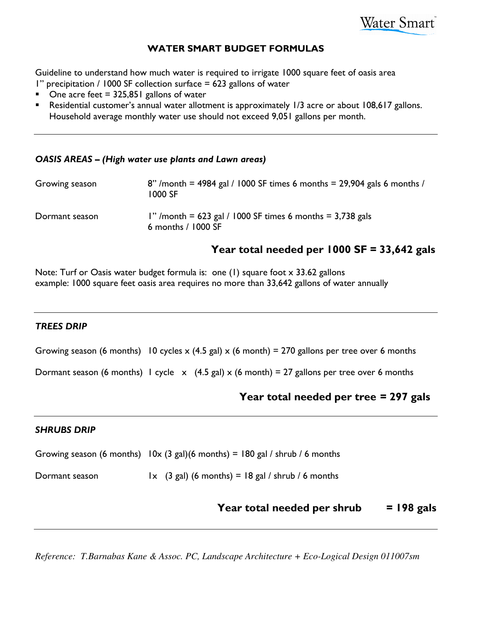

# WATER SMART BUDGET FORMULAS

Guideline to understand how much water is required to irrigate 1000 square feet of oasis area 1" precipitation / 1000 SF collection surface = 623 gallons of water

- One acre feet  $= 325,851$  gallons of water
- **Residential customer's annual water allotment is approximately 1/3 acre or about 108,617 gallons.** Household average monthly water use should not exceed 9,051 gallons per month.

## OASIS AREAS – (High water use plants and Lawn areas)

| Growing season | 8" /month = 4984 gal / 1000 SF times 6 months = $29,904$ gals 6 months /<br>1000 SF |
|----------------|-------------------------------------------------------------------------------------|
| Dormant season | 1" /month = $623$ gal / 1000 SF times 6 months = $3,738$ gals<br>6 months / 1000 SF |

# Year total needed per 1000 SF = 33,642 gals

Note: Turf or Oasis water budget formula is: one (1) square foot x 33.62 gallons example: 1000 square feet oasis area requires no more than 33,642 gallons of water annually

# TREES DRIP

Growing season (6 months) 10 cycles x (4.5 gal) x (6 month) = 270 gallons per tree over 6 months

Dormant season (6 months) 1 cycle  $x$  (4.5 gal) x (6 month) = 27 gallons per tree over 6 months

# Year total needed per tree = 297 gals

### SHRUBS DRIP

Growing season (6 months)  $10x$  (3 gal)(6 months) = 180 gal / shrub / 6 months

Dormant season  $1 \times (3 \text{ gal})$  (6 months) = 18 gal / shrub / 6 months

# Year total needed per shrub  $= 198$  gals

*Reference: T.Barnabas Kane & Assoc. PC, Landscape Architecture + Eco-Logical Design 011007sm*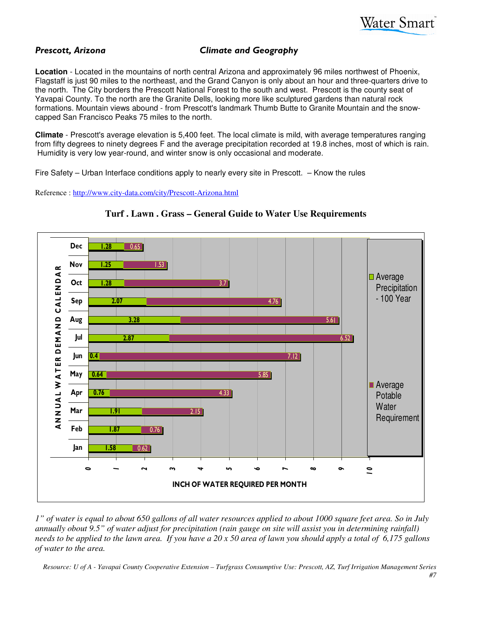

# Prescott, Arizona Climate and Geography

**Location** - Located in the mountains of north central Arizona and approximately 96 miles northwest of Phoenix, Flagstaff is just 90 miles to the northeast, and the Grand Canyon is only about an hour and three-quarters drive to the north. The City borders the Prescott National Forest to the south and west. Prescott is the county seat of Yavapai County. To the north are the Granite Dells, looking more like sculptured gardens than natural rock formations. Mountain views abound - from Prescott's landmark Thumb Butte to Granite Mountain and the snowcapped San Francisco Peaks 75 miles to the north.

**Climate** - Prescott's average elevation is 5,400 feet. The local climate is mild, with average temperatures ranging from fifty degrees to ninety degrees F and the average precipitation recorded at 19.8 inches, most of which is rain. Humidity is very low year-round, and winter snow is only occasional and moderate.

Fire Safety – Urban Interface conditions apply to nearly every site in Prescott. – Know the rules

Reference : http://www.city-data.com/city/Prescott-Arizona.html



**Turf . Lawn . Grass – General Guide to Water Use Requirements** 

*1" of water is equal to about 650 gallons of all water resources applied to about 1000 square feet area. So in July annually obout 9.5" of water adjust for precipitation (rain gauge on site will assist you in determining rainfall) needs to be applied to the lawn area. If you have a 20 x 50 area of lawn you should apply a total of 6,175 gallons of water to the area.* 

*Resource: U of A - Yavapai County Cooperative Extension – Turfgrass Consumptive Use: Prescott, AZ, Turf Irrigation Management Series*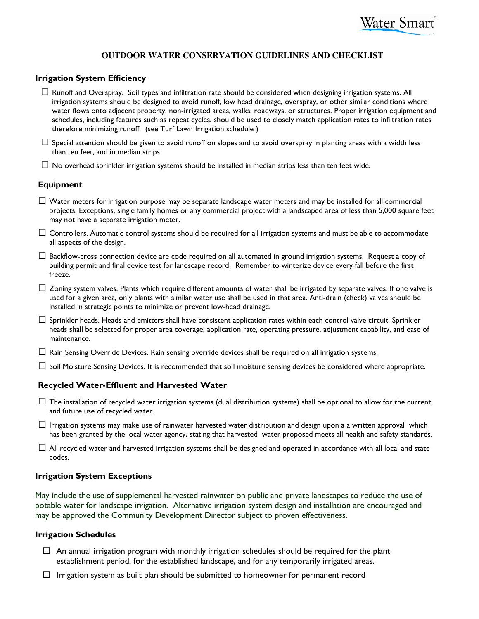#### **OUTDOOR WATER CONSERVATION GUIDELINES AND CHECKLIST**

#### Irrigation System Efficiency

 $\Box$  Runoff and Overspray. Soil types and infiltration rate should be considered when designing irrigation systems. All irrigation systems should be designed to avoid runoff, low head drainage, overspray, or other similar conditions where water flows onto adjacent property, non-irrigated areas, walks, roadways, or structures. Proper irrigation equipment and schedules, including features such as repeat cycles, should be used to closely match application rates to infiltration rates therefore minimizing runoff. (see Turf Lawn Irrigation schedule )

 $\Box$  Special attention should be given to avoid runoff on slopes and to avoid overspray in planting areas with a width less than ten feet, and in median strips.

 $\Box$  No overhead sprinkler irrigation systems should be installed in median strips less than ten feet wide.

#### Equipment

- $\square$  Water meters for irrigation purpose may be separate landscape water meters and may be installed for all commercial projects. Exceptions, single family homes or any commercial project with a landscaped area of less than 5,000 square feet may not have a separate irrigation meter.
- $\Box$  Controllers. Automatic control systems should be required for all irrigation systems and must be able to accommodate all aspects of the design.
- $\Box$  Backflow-cross connection device are code required on all automated in ground irrigation systems. Request a copy of building permit and final device test for landscape record. Remember to winterize device every fall before the first freeze.
- $\Box$  Zoning system valves. Plants which require different amounts of water shall be irrigated by separate valves. If one valve is used for a given area, only plants with similar water use shall be used in that area. Anti-drain (check) valves should be installed in strategic points to minimize or prevent low-head drainage.
- $\square$  Sprinkler heads. Heads and emitters shall have consistent application rates within each control valve circuit. Sprinkler heads shall be selected for proper area coverage, application rate, operating pressure, adjustment capability, and ease of maintenance.
- $\Box$  Rain Sensing Override Devices. Rain sensing override devices shall be required on all irrigation systems.
- $\Box$  Soil Moisture Sensing Devices. It is recommended that soil moisture sensing devices be considered where appropriate.

#### Recycled Water-Effluent and Harvested Water

- $\square$  The installation of recycled water irrigation systems (dual distribution systems) shall be optional to allow for the current and future use of recycled water.
- $\Box$  Irrigation systems may make use of rainwater harvested water distribution and design upon a a written approval which has been granted by the local water agency, stating that harvested water proposed meets all health and safety standards.
- $\Box$  All recycled water and harvested irrigation systems shall be designed and operated in accordance with all local and state codes.

#### Irrigation System Exceptions

May include the use of supplemental harvested rainwater on public and private landscapes to reduce the use of potable water for landscape irrigation. Alternative irrigation system design and installation are encouraged and may be approved the Community Development Director subject to proven effectiveness.

#### Irrigation Schedules

- $\Box$  An annual irrigation program with monthly irrigation schedules should be required for the plant establishment period, for the established landscape, and for any temporarily irrigated areas.
- $\Box$  Irrigation system as built plan should be submitted to homeowner for permanent record